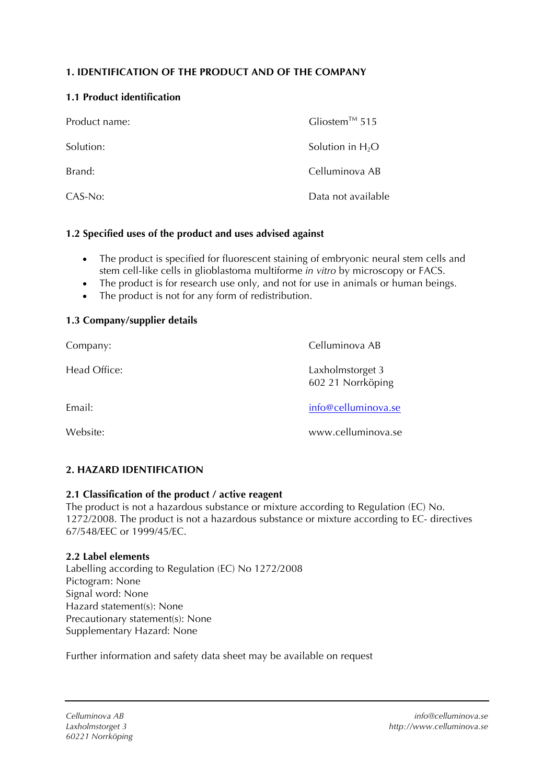# **1. IDENTIFICATION OF THE PRODUCT AND OF THE COMPANY**

## **1.1 Product identification**

| Product name: | Gliostem <sup>™</sup> 515 |
|---------------|---------------------------|
| Solution:     | Solution in $H_2O$        |
| Brand:        | Celluminova AB            |
| CAS-No:       | Data not available        |

## **1.2 Specified uses of the product and uses advised against**

- The product is specified for fluorescent staining of embryonic neural stem cells and stem cell-like cells in glioblastoma multiforme *in vitro* by microscopy or FACS.
- The product is for research use only, and not for use in animals or human beings.
- The product is not for any form of redistribution.

## **1.3 Company/supplier details**

| Company:     | Celluminova AB                        |
|--------------|---------------------------------------|
| Head Office: | Laxholmstorget 3<br>602 21 Norrköping |
| Email:       | info@celluminova.se                   |
| Website:     | www.celluminova.se                    |

# **2. HAZARD IDENTIFICATION**

## **2.1 Classification of the product / active reagent**

The product is not a hazardous substance or mixture according to Regulation (EC) No. 1272/2008. The product is not a hazardous substance or mixture according to EC- directives 67/548/EEC or 1999/45/EC.

## **2.2 Label elements**

Labelling according to Regulation (EC) No 1272/2008 Pictogram: None Signal word: None Hazard statement(s): None Precautionary statement(s): None Supplementary Hazard: None

Further information and safety data sheet may be available on request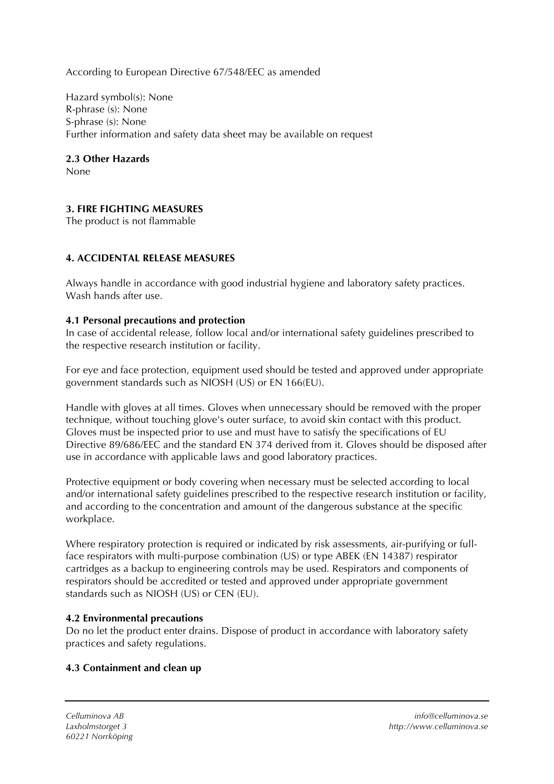According to European Directive 67/548/EEC as amended

Hazard symbol(s): None R-phrase (s): None S-phrase (s): None Further information and safety data sheet may be available on request

## **2.3 Other Hazards**

None

# **3. FIRE FIGHTING MEASURES**

The product is not flammable

# **4. ACCIDENTAL RELEASE MEASURES**

Always handle in accordance with good industrial hygiene and laboratory safety practices. Wash hands after use.

## **4.1 Personal precautions and protection**

In case of accidental release, follow local and/or international safety guidelines prescribed to the respective research institution or facility.

For eye and face protection, equipment used should be tested and approved under appropriate government standards such as NIOSH (US) or EN 166(EU).

Handle with gloves at all times. Gloves when unnecessary should be removed with the proper technique, without touching glove's outer surface, to avoid skin contact with this product. Gloves must be inspected prior to use and must have to satisfy the specifications of EU Directive 89/686/EEC and the standard EN 374 derived from it. Gloves should be disposed after use in accordance with applicable laws and good laboratory practices.

Protective equipment or body covering when necessary must be selected according to local and/or international safety guidelines prescribed to the respective research institution or facility, and according to the concentration and amount of the dangerous substance at the specific workplace.

Where respiratory protection is required or indicated by risk assessments, air-purifying or fullface respirators with multi-purpose combination (US) or type ABEK (EN 14387) respirator cartridges as a backup to engineering controls may be used. Respirators and components of respirators should be accredited or tested and approved under appropriate government standards such as NIOSH (US) or CEN (EU).

## **4.2 Environmental precautions**

Do no let the product enter drains. Dispose of product in accordance with laboratory safety practices and safety regulations.

# **4.3 Containment and clean up**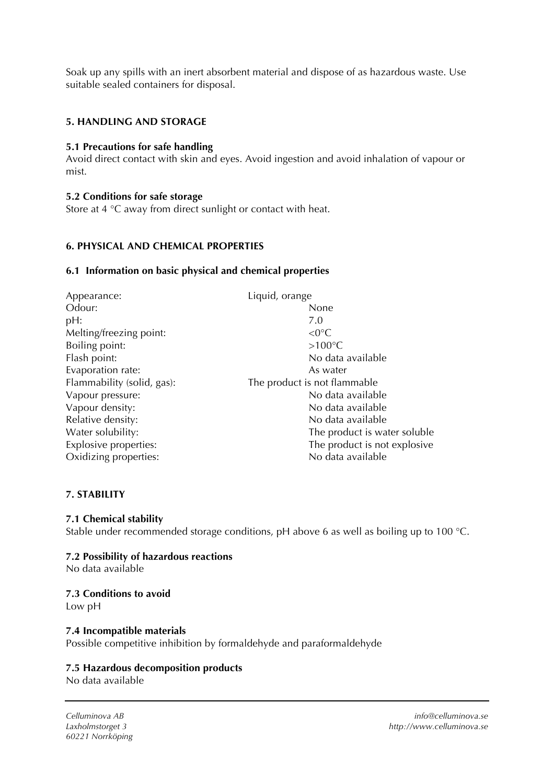Soak up any spills with an inert absorbent material and dispose of as hazardous waste. Use suitable sealed containers for disposal.

## **5. HANDLING AND STORAGE**

## **5.1 Precautions for safe handling**

Avoid direct contact with skin and eyes. Avoid ingestion and avoid inhalation of vapour or mist.

#### **5.2 Conditions for safe storage**

Store at 4 °C away from direct sunlight or contact with heat.

## **6. PHYSICAL AND CHEMICAL PROPERTIES**

#### **6.1 Information on basic physical and chemical properties**

| Appearance:                  | Liquid, orange               |
|------------------------------|------------------------------|
| Odour:                       | None                         |
| pH:                          | 7.0                          |
| Melting/freezing point:      | $<$ 0 $^{\circ}$ C           |
| Boiling point:               | $>100^{\circ}$ C             |
| Flash point:                 | No data available            |
| Evaporation rate:            | As water                     |
| Flammability (solid, gas):   | The product is not flammable |
| Vapour pressure:             | No data available            |
| Vapour density:              | No data available            |
| Relative density:            | No data available            |
| Water solubility:            | The product is water soluble |
| <b>Explosive properties:</b> | The product is not explosive |
| Oxidizing properties:        | No data available            |
|                              |                              |

## **7. STABILITY**

## **7.1 Chemical stability**

Stable under recommended storage conditions, pH above 6 as well as boiling up to 100 °C.

## **7.2 Possibility of hazardous reactions**

No data available

## **7.3 Conditions to avoid**

Low pH

#### **7.4 Incompatible materials**  Possible competitive inhibition by formaldehyde and paraformaldehyde

## **7.5 Hazardous decomposition products**

No data available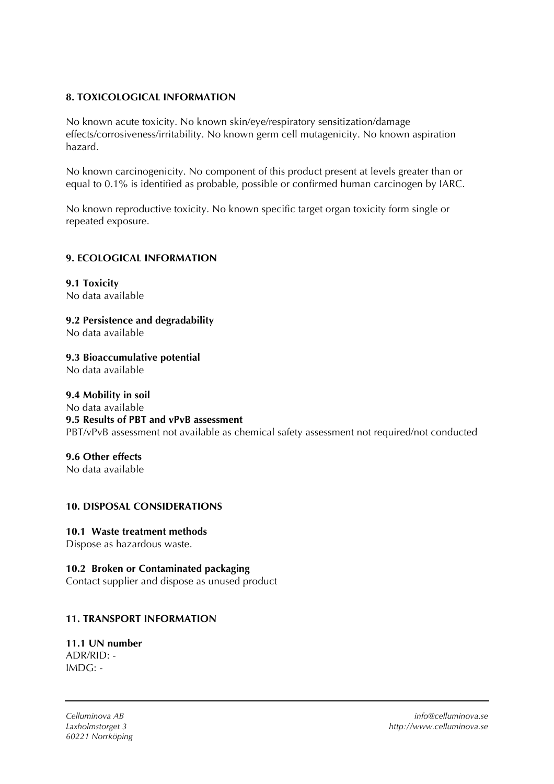# **8. TOXICOLOGICAL INFORMATION**

No known acute toxicity. No known skin/eye/respiratory sensitization/damage effects/corrosiveness/irritability. No known germ cell mutagenicity. No known aspiration hazard.

No known carcinogenicity. No component of this product present at levels greater than or equal to 0.1% is identified as probable, possible or confirmed human carcinogen by IARC.

No known reproductive toxicity. No known specific target organ toxicity form single or repeated exposure.

## **9. ECOLOGICAL INFORMATION**

**9.1 Toxicity**  No data available

**9.2 Persistence and degradability** 

No data available

**9.3 Bioaccumulative potential**  No data available

## **9.4 Mobility in soil**  No data available **9.5 Results of PBT and vPvB assessment**

PBT/vPvB assessment not available as chemical safety assessment not required/not conducted

**9.6 Other effects**  No data available

# **10. DISPOSAL CONSIDERATIONS**

# **10.1 Waste treatment methods**

Dispose as hazardous waste.

# **10.2 Broken or Contaminated packaging**

Contact supplier and dispose as unused product

# **11. TRANSPORT INFORMATION**

#### **11.1 UN number**  ADR/RID: - IMDG: -